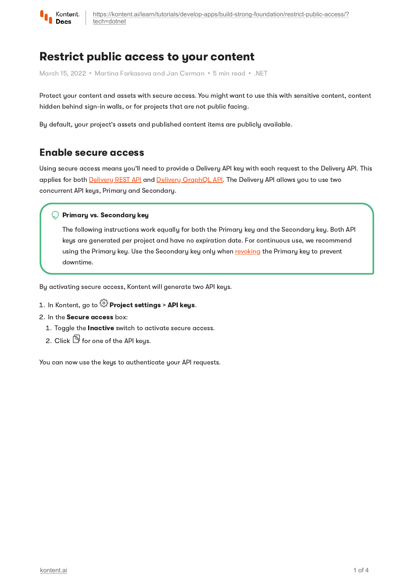

# Restrict public access to your content

March 15, 2022 • Martina Farkasova and Jan Cerman • 5 min read • .NET

Protect your content and assets with secure access. You might want to use this with sensitive content, content hidden behind sign-in walls, or for projects that are not public facing.

By default, your project's assets and published content items are publicly available.

## Enable secure access

Using secure access means you'll need to provide a Delivery API key with each request to the Delivery API. This applies for both [Delivery](https://kontent.ai/learn/reference/delivery-api/) REST API and Delivery [GraphQL](https://kontent.ai/learn/reference/delivery-graphql-api/) API. The Delivery API allows you to use two concurrent API keys, Primary and Secondary.

### $\bigcirc$  Primary vs. Secondary key

The following instructions work equally for both the Primary key and the Secondary key. Both API keys are generated per project and have no expiration date. For continuous use, we recommend using the Primary key. Use the Secondary key only when [revoking](https://kontent.ai/learn/tutorials/develop-apps/build-strong-foundation/restrict-public-access/#a-revoke-the-api-keys) the Primary key to prevent downtime.

By activating secure access, Kontent will generate two API keys.

### 1. In Kontent, go to  $\widehat{\mathbb{G}}$  Project settings > API keys.

### 2. In the Secure access box:

- 1. Toggle the Inactive switch to activate secure access.
- 2. Click  $\mathbb G$  for one of the API keus.

You can now use the keys to authenticate your API requests.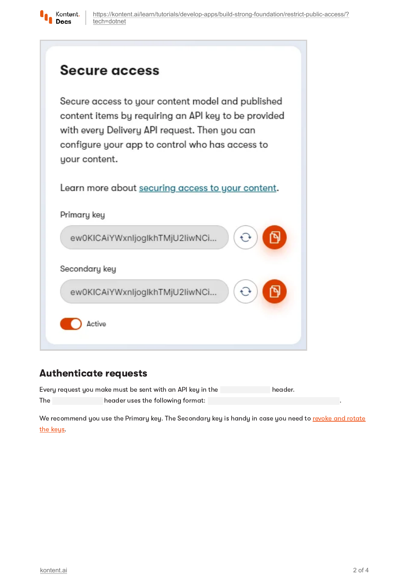

# Secure access

Secure access to your content model and published content items by requiring an API key to be provided with every Delivery API request. Then you can configure your app to control who has access to your content.

Learn more about securing access to your content.

|               | ew0KICAiYWxnIjogIkhTMjU2IiwNCi |  |
|---------------|--------------------------------|--|
| Secondary key |                                |  |
|               |                                |  |

# Authenticate requests

Every request you make must be sent with an API key in the header. The **header uses the following format:** 

We [recommend](#page-3-0) you use the Primary key. The Secondary key is handy in case you need to revoke and rotate the keys.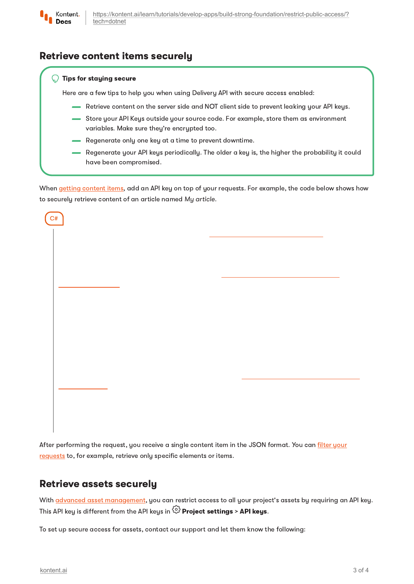

# Retrieve content items securely

### Tips for staying secure

Here are a few tips to help you when using Delivery API with secure access enabled:

- Retrieve content on the server side and NOT client side to prevent leaking your API keys.
- Store your API Keys outside your source code. For example, store them as environment variables. Make sure they're encrypted too.
- Regenerate only one key at a time to prevent downtime.
- Regenerate your API keys periodically. The older a key is, the higher the probability it could have been compromised.

When getting [content](https://kontent.ai/learn/tutorials/develop-apps/get-content/get-content-items/) items, add an API key on top of your requests. For example, the code below shows how to securely retrieve content of an article named My article.

| C# |  |  |  |
|----|--|--|--|
|    |  |  |  |
|    |  |  |  |
|    |  |  |  |
|    |  |  |  |
|    |  |  |  |
|    |  |  |  |
|    |  |  |  |
|    |  |  |  |
|    |  |  |  |
|    |  |  |  |
|    |  |  |  |

After [performing](https://kontent.ai/learn/tutorials/develop-apps/get-content/filter-content-items-examples/) the request, you receive a single content item in the JSON format. You can filter your requests to, for example, retrieve only specific elements or items.

### Retrieve assets securely

With **advanced asset [management](https://kontent.ai/learn/tutorials/manage-kontent/assets/manage-assets/)**, you can restrict access to all your project's assets by requiring an API key. This API keu is different from the API keus in  $\widehat{\mathbb{C}\mathbb{Z}}$  **Proiect settings > API keus.** 

To set up secure access for assets, contact our support and let them know the following: